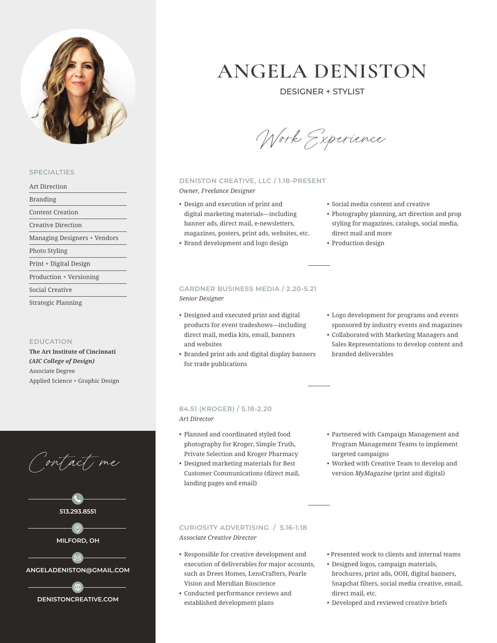

# **SPECIALTIES**

Art Direction

Branding

Content Creation

Creative Direction

Managing Designers + Vendors

Photo Styling

Print + Digital Design

Production + Versioning

Social Creative

Strategic Planning

## **EDUCATION**

**The Art Institute of Cincinnati** *(AIC College of Design)* Associate Degree Applied Science + Graphic Design

Contact me





# **ANGELA DENISTON**

DESIGNER + STYLIST

Work Experience

# **DENISTON CREATIVE, LLC / 1.18-PRESENT** *Owner, Freelance Designer*

- Design and execution of print and digital marketing materials—including
- banner ads, direct mail, e-newsletters, magazines, posters, print ads, websites, etc.
- Brand development and logo design

# **GARDNER BUSINESS MEDIA / 2.20-5.21** *Senior Designer*

- Designed and executed print and digital products for event tradeshows—including direct mail, media kits, email, banners and websites
- Branded print ads and digital display banners for trade publications
- Social media content and creative
- Photography planning, art direction and prop styling for magazines, catalogs, social media, direct mail and more
- Production design
- Logo development for programs and events sponsored by industry events and magazines
- Collaborated with Marketing Managers and Sales Representations to develop content and branded deliverables

### **84.51 (KROGER) / 5.18-2.20** *Art Director*

- Planned and coordinated styled food photography for Kroger, Simple Truth, Private Selection and Kroger Pharmacy
- Designed marketing materials for Best Customer Communications (direct mail, landing pages and email)
- Partnered with Campaign Management and Program Management Teams to implement targeted campaigns
- Worked with Creative Team to develop and version *MyMagazine* (print and digital)

# **CURIOSITY ADVERTISING / 5.16-1.18** *Associate Creative Director*

- Responsible for creative development and execution of deliverables for major accounts, such as Drees Homes, LensCrafters, Pearle Vision and Meridian Bioscience
- Conducted performance reviews and established development plans
- Presented work to clients and internal teams
- Designed logos, campaign materials, brochures, print ads, OOH, digital banners, Snapchat filters, social media creative, email, direct mail, etc.
- Developed and reviewed creative briefs